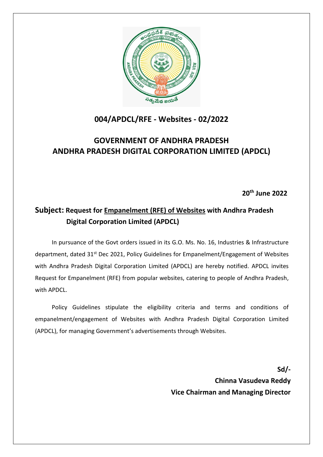

# **004/APDCL/RFE - Websites - 02/2022**

# **GOVERNMENT OF ANDHRA PRADESH ANDHRA PRADESH DIGITAL CORPORATION LIMITED (APDCL)**

**20th June 2022**

## **Subject: Request for Empanelment (RFE) of Websites with Andhra Pradesh Digital Corporation Limited (APDCL)**

In pursuance of the Govt orders issued in its G.O. Ms. No. 16, Industries & Infrastructure department, dated 31<sup>st</sup> Dec 2021, Policy Guidelines for Empanelment/Engagement of Websites with Andhra Pradesh Digital Corporation Limited (APDCL) are hereby notified. APDCL invites Request for Empanelment (RFE) from popular websites, catering to people of Andhra Pradesh, with APDCL.

Policy Guidelines stipulate the eligibility criteria and terms and conditions of empanelment/engagement of Websites with Andhra Pradesh Digital Corporation Limited (APDCL), for managing Government's advertisements through Websites.

> **Sd/- Chinna Vasudeva Reddy Vice Chairman and Managing Director**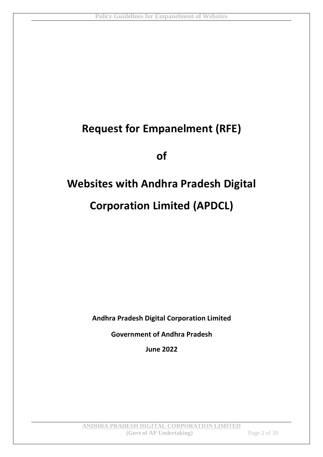# **Request for Empanelment (RFE)**

**of**

# **Websites with Andhra Pradesh Digital Corporation Limited (APDCL)**

**Andhra Pradesh Digital Corporation Limited**

**Government of Andhra Pradesh**

**June 2022**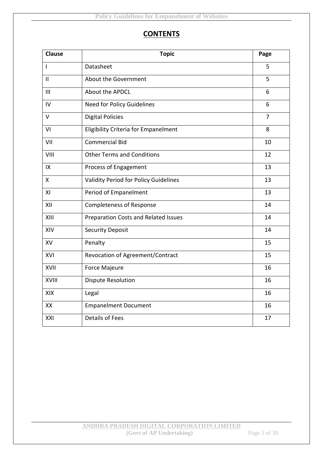### **CONTENTS**

| <b>Clause</b>  | <b>Topic</b>                                | Page           |
|----------------|---------------------------------------------|----------------|
| T              | Datasheet                                   | 5              |
| $\mathbf{I}$   | About the Government                        | 5              |
| III            | About the APDCL                             | 6              |
| $\overline{N}$ | <b>Need for Policy Guidelines</b>           | 6              |
| $\vee$         | <b>Digital Policies</b>                     | $\overline{7}$ |
| VI             | <b>Eligibility Criteria for Empanelment</b> | 8              |
| VII            | <b>Commercial Bid</b>                       | 10             |
| VIII           | <b>Other Terms and Conditions</b>           | 12             |
| IX             | Process of Engagement                       | 13             |
| $\mathsf{X}$   | Validity Period for Policy Guidelines       | 13             |
| XI             | Period of Empanelment                       | 13             |
| XII            | <b>Completeness of Response</b>             | 14             |
| XIII           | Preparation Costs and Related Issues        | 14             |
| XIV            | <b>Security Deposit</b>                     | 14             |
| XV             | Penalty                                     | 15             |
| XVI            | Revocation of Agreement/Contract            | 15             |
| XVII           | Force Majeure                               | 16             |
| XVIII          | <b>Dispute Resolution</b>                   | 16             |
| XIX            | Legal                                       | 16             |
| XX             | <b>Empanelment Document</b>                 | 16             |
| XXI            | <b>Details of Fees</b>                      | 17             |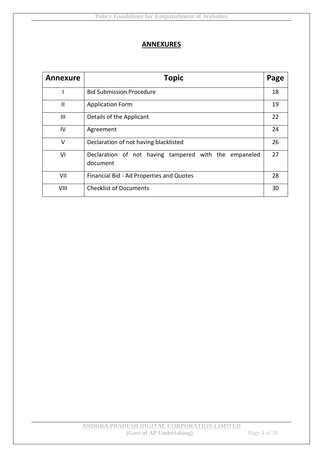#### **ANNEXURES**

| <b>Annexure</b> | <b>Topic</b>                                                      | Page |
|-----------------|-------------------------------------------------------------------|------|
|                 | <b>Bid Submission Procedure</b>                                   | 18   |
| $\mathbf{I}$    | <b>Application Form</b>                                           | 19   |
| Ш               | Details of the Applicant                                          | 22   |
| IV              | Agreement                                                         | 24   |
| V               | Declaration of not having blacklisted                             | 26   |
| VI              | Declaration of not having tampered with the empaneled<br>document | 27   |
| VII             | Financial Bid - Ad Properties and Quotes                          | 28   |
| VIII            | <b>Checklist of Documents</b>                                     | 30   |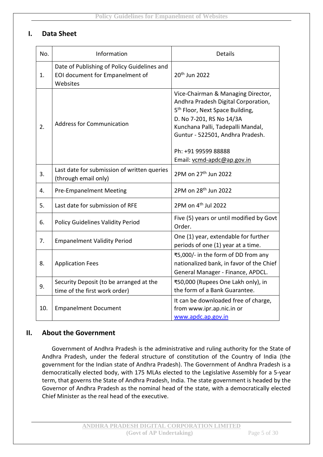#### **I. Data Sheet**

| No. | Information                                                                                | Details                                                                                                                                                                                                                                                                            |
|-----|--------------------------------------------------------------------------------------------|------------------------------------------------------------------------------------------------------------------------------------------------------------------------------------------------------------------------------------------------------------------------------------|
| 1.  | Date of Publishing of Policy Guidelines and<br>EOI document for Empanelment of<br>Websites | 20 <sup>th</sup> Jun 2022                                                                                                                                                                                                                                                          |
| 2.  | <b>Address for Communication</b>                                                           | Vice-Chairman & Managing Director,<br>Andhra Pradesh Digital Corporation,<br>5 <sup>th</sup> Floor, Next Space Building,<br>D. No 7-201, RS No 14/3A<br>Kunchana Palli, Tadepalli Mandal,<br>Guntur - 522501, Andhra Pradesh.<br>Ph: +91 99599 88888<br>Email: vcmd-apdc@ap.gov.in |
| 3.  | Last date for submission of written queries<br>(through email only)                        | 2PM on 27 <sup>th</sup> Jun 2022                                                                                                                                                                                                                                                   |
| 4.  | <b>Pre-Empanelment Meeting</b>                                                             | 2PM on 28 <sup>th</sup> Jun 2022                                                                                                                                                                                                                                                   |
| 5.  | Last date for submission of RFE                                                            | 2PM on 4 <sup>th</sup> Jul 2022                                                                                                                                                                                                                                                    |
| 6.  | <b>Policy Guidelines Validity Period</b>                                                   | Five (5) years or until modified by Govt<br>Order.                                                                                                                                                                                                                                 |
| 7.  | <b>Empanelment Validity Period</b>                                                         | One (1) year, extendable for further<br>periods of one (1) year at a time.                                                                                                                                                                                                         |
| 8.  | <b>Application Fees</b>                                                                    | ₹5,000/- in the form of DD from any<br>nationalized bank, in favor of the Chief<br>General Manager - Finance, APDCL.                                                                                                                                                               |
| 9.  | Security Deposit (to be arranged at the<br>time of the first work order)                   | ₹50,000 (Rupees One Lakh only), in<br>the form of a Bank Guarantee.                                                                                                                                                                                                                |
| 10. | <b>Empanelment Document</b>                                                                | It can be downloaded free of charge,<br>from www.ipr.ap.nic.in or<br>www.apdc.ap.gov.in                                                                                                                                                                                            |

#### **II. About the Government**

Government of Andhra Pradesh is the administrative and ruling authority for the State of Andhra Pradesh, under the federal structure of constitution of the Country of India (the government for the Indian state of Andhra Pradesh). The Government of Andhra Pradesh is a democratically elected body, with 175 MLAs elected to the Legislative Assembly for a 5-year term, that governs the State of Andhra Pradesh, India. The state government is headed by the Governor of Andhra Pradesh as the nominal head of the state, with a democratically elected Chief Minister as the real head of the executive.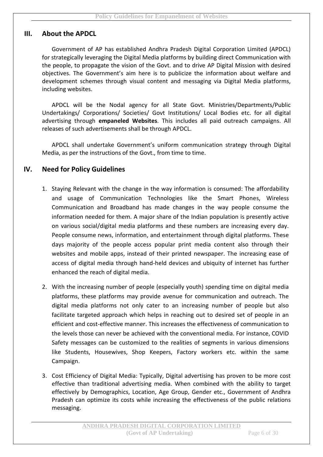#### **III. About the APDCL**

Government of AP has established Andhra Pradesh Digital Corporation Limited (APDCL) for strategically leveraging the Digital Media platforms by building direct Communication with the people, to propagate the vision of the Govt. and to drive AP Digital Mission with desired objectives. The Government's aim here is to publicize the information about welfare and development schemes through visual content and messaging via Digital Media platforms, including websites.

APDCL will be the Nodal agency for all State Govt. Ministries/Departments/Public Undertakings/ Corporations/ Societies/ Govt Institutions/ Local Bodies etc. for all digital advertising through **empaneled Websites**. This includes all paid outreach campaigns. All releases of such advertisements shall be through APDCL.

APDCL shall undertake Government's uniform communication strategy through Digital Media, as per the instructions of the Govt., from time to time.

#### **IV. Need for Policy Guidelines**

- 1. Staying Relevant with the change in the way information is consumed: The affordability and usage of Communication Technologies like the Smart Phones, Wireless Communication and Broadband has made changes in the way people consume the information needed for them. A major share of the Indian population is presently active on various social/digital media platforms and these numbers are increasing every day. People consume news, information, and entertainment through digital platforms. These days majority of the people access popular print media content also through their websites and mobile apps, instead of their printed newspaper. The increasing ease of access of digital media through hand-held devices and ubiquity of internet has further enhanced the reach of digital media.
- 2. With the increasing number of people (especially youth) spending time on digital media platforms, these platforms may provide avenue for communication and outreach. The digital media platforms not only cater to an increasing number of people but also facilitate targeted approach which helps in reaching out to desired set of people in an efficient and cost-effective manner. This increases the effectiveness of communication to the levels those can never be achieved with the conventional media. For instance, COVID Safety messages can be customized to the realities of segments in various dimensions like Students, Housewives, Shop Keepers, Factory workers etc. within the same Campaign.
- 3. Cost Efficiency of Digital Media: Typically, Digital advertising has proven to be more cost effective than traditional advertising media. When combined with the ability to target effectively by Demographics, Location, Age Group, Gender etc., Government of Andhra Pradesh can optimize its costs while increasing the effectiveness of the public relations messaging.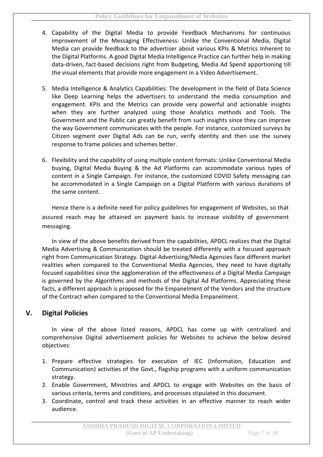- 4. Capability of the Digital Media to provide Feedback Mechanisms for continuous improvement of the Messaging Effectiveness: Unlike the Conventional Media, Digital Media can provide feedback to the advertiser about various KPIs & Metrics Inherent to the Digital Platforms. A good Digital Media Intelligence Practice can further help in making data-driven, fact-based decisions right from Budgeting, Media Ad Spend apportioning till the visual elements that provide more engagement in a Video Advertisement.
- 5. Media Intelligence & Analytics Capabilities: The development in the field of Data Science like Deep Learning helps the advertisers to understand the media consumption and engagement. KPIs and the Metrics can provide very powerful and actionable insights when they are further analyzed using those Analytics methods and Tools. The Government and the Public can greatly benefit from such insights since they can improve the way Government communicates with the people. For instance, customized surveys by Citizen segment over Digital Ads can be run, verify identity and then use the survey response to frame policies and schemes better.
- 6. Flexibility and the capability of using multiple content formats: Unlike Conventional Media buying, Digital Media Buying & the Ad Platforms can accommodate various types of content in a Single Campaign. For instance, the customized COVID Safety messaging can be accommodated in a Single Campaign on a Digital Platform with various durations of the same content.

Hence there is a definite need for policy guidelines for engagement of Websites, so that assured reach may be attained on payment basis to increase visibility of government messaging.

In view of the above benefits derived from the capabilities, APDCL realizes that the Digital Media Advertising & Communication should be treated differently with a focused approach right from Communication Strategy. Digital Advertising/Media Agencies face different market realities when compared to the Conventional Media Agencies, they need to have digitally focused capabilities since the agglomeration of the effectiveness of a Digital Media Campaign is governed by the Algorithms and methods of the Digital Ad Platforms. Appreciating these facts, a different approach is proposed for the Empanelment of the Vendors and the structure of the Contract when compared to the Conventional Media Empanelment.

#### **V. Digital Policies**

In view of the above listed reasons, APDCL has come up with centralized and comprehensive Digital advertisement policies for Websites to achieve the below desired objectives:

- 1. Prepare effective strategies for execution of IEC (Information, Education and Communication) activities of the Govt., flagship programs with a uniform communication strategy.
- 2. Enable Government, Ministries and APDCL to engage with Websites on the basis of various criteria, terms and conditions, and processes stipulated in this document.
- 3. Coordinate, control and track these activities in an effective manner to reach wider audience.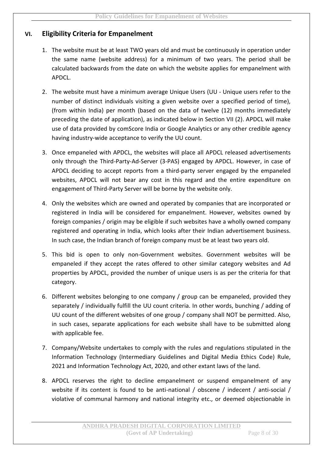#### **VI. Eligibility Criteria for Empanelment**

- 1. The website must be at least TWO years old and must be continuously in operation under the same name (website address) for a minimum of two years. The period shall be calculated backwards from the date on which the website applies for empanelment with APDCL.
- 2. The website must have a minimum average Unique Users (UU Unique users refer to the number of distinct individuals visiting a given website over a specified period of time), (from within India) per month (based on the data of twelve (12) months immediately preceding the date of application), as indicated below in Section VII (2). APDCL will make use of data provided by comScore India or Google Analytics or any other credible agency having industry-wide acceptance to verify the UU count.
- 3. Once empaneled with APDCL, the websites will place all APDCL released advertisements only through the Third-Party-Ad-Server (3-PAS) engaged by APDCL. However, in case of APDCL deciding to accept reports from a third-party server engaged by the empaneled websites, APDCL will not bear any cost in this regard and the entire expenditure on engagement of Third-Party Server will be borne by the website only.
- 4. Only the websites which are owned and operated by companies that are incorporated or registered in India will be considered for empanelment. However, websites owned by foreign companies / origin may be eligible if such websites have a wholly owned company registered and operating in India, which looks after their Indian advertisement business. In such case, the Indian branch of foreign company must be at least two years old.
- 5. This bid is open to only non-Government websites. Government websites will be empaneled if they accept the rates offered to other similar category websites and Ad properties by APDCL, provided the number of unique users is as per the criteria for that category.
- 6. Different websites belonging to one company / group can be empaneled, provided they separately / individually fulfill the UU count criteria. In other words, bunching / adding of UU count of the different websites of one group / company shall NOT be permitted. Also, in such cases, separate applications for each website shall have to be submitted along with applicable fee.
- 7. Company/Website undertakes to comply with the rules and regulations stipulated in the Information Technology (Intermediary Guidelines and Digital Media Ethics Code) Rule, 2021 and Information Technology Act, 2020, and other extant laws of the land.
- 8. APDCL reserves the right to decline empanelment or suspend empanelment of any website if its content is found to be anti-national / obscene / indecent / anti-social / violative of communal harmony and national integrity etc., or deemed objectionable in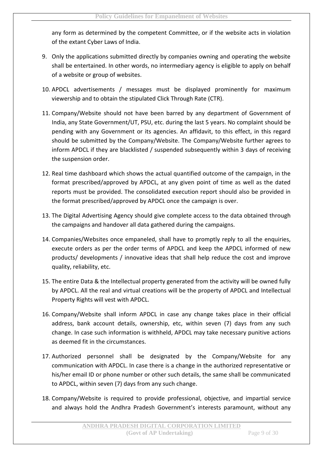any form as determined by the competent Committee, or if the website acts in violation of the extant Cyber Laws of India.

- 9. Only the applications submitted directly by companies owning and operating the website shall be entertained. In other words, no intermediary agency is eligible to apply on behalf of a website or group of websites.
- 10. APDCL advertisements / messages must be displayed prominently for maximum viewership and to obtain the stipulated Click Through Rate (CTR).
- 11. Company/Website should not have been barred by any department of Government of India, any State Government/UT, PSU, etc. during the last 5 years. No complaint should be pending with any Government or its agencies. An affidavit, to this effect, in this regard should be submitted by the Company/Website. The Company/Website further agrees to inform APDCL if they are blacklisted / suspended subsequently within 3 days of receiving the suspension order.
- 12. Real time dashboard which shows the actual quantified outcome of the campaign, in the format prescribed/approved by APDCL, at any given point of time as well as the dated reports must be provided. The consolidated execution report should also be provided in the format prescribed/approved by APDCL once the campaign is over.
- 13. The Digital Advertising Agency should give complete access to the data obtained through the campaigns and handover all data gathered during the campaigns.
- 14. Companies/Websites once empaneled, shall have to promptly reply to all the enquiries, execute orders as per the order terms of APDCL and keep the APDCL informed of new products/ developments / innovative ideas that shall help reduce the cost and improve quality, reliability, etc.
- 15. The entire Data & the Intellectual property generated from the activity will be owned fully by APDCL. All the real and virtual creations will be the property of APDCL and Intellectual Property Rights will vest with APDCL.
- 16. Company/Website shall inform APDCL in case any change takes place in their official address, bank account details, ownership, etc, within seven (7) days from any such change. In case such information is withheld, APDCL may take necessary punitive actions as deemed fit in the circumstances.
- 17. Authorized personnel shall be designated by the Company/Website for any communication with APDCL. In case there is a change in the authorized representative or his/her email ID or phone number or other such details, the same shall be communicated to APDCL, within seven (7) days from any such change.
- 18. Company/Website is required to provide professional, objective, and impartial service and always hold the Andhra Pradesh Government's interests paramount, without any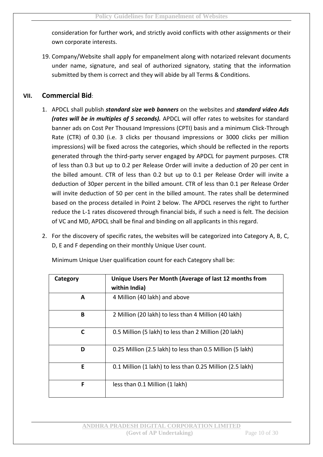consideration for further work, and strictly avoid conflicts with other assignments or their own corporate interests.

19. Company/Website shall apply for empanelment along with notarized relevant documents under name, signature, and seal of authorized signatory, stating that the information submitted by them is correct and they will abide by all Terms & Conditions.

#### **VII. Commercial Bid**:

- 1. APDCL shall publish *standard size web banners* on the websites and *standard video Ads (rates will be in multiples of 5 seconds).* APDCL will offer rates to websites for standard banner ads on Cost Per Thousand Impressions (CPTI) basis and a minimum Click-Through Rate (CTR) of 0.30 (i.e. 3 clicks per thousand impressions or 3000 clicks per million impressions) will be fixed across the categories, which should be reflected in the reports generated through the third-party server engaged by APDCL for payment purposes. CTR of less than 0.3 but up to 0.2 per Release Order will invite a deduction of 20 per cent in the billed amount. CTR of less than 0.2 but up to 0.1 per Release Order will invite a deduction of 30per percent in the billed amount. CTR of less than 0.1 per Release Order will invite deduction of 50 per cent in the billed amount. The rates shall be determined based on the process detailed in Point 2 below. The APDCL reserves the right to further reduce the L-1 rates discovered through financial bids, if such a need is felt. The decision of VC and MD, APDCL shall be final and binding on all applicants in this regard.
- 2. For the discovery of specific rates, the websites will be categorized into Category A, B, C, D, E and F depending on their monthly Unique User count.

| Category | Unique Users Per Month (Average of last 12 months from<br>within India) |
|----------|-------------------------------------------------------------------------|
| A        | 4 Million (40 lakh) and above                                           |
| B        | 2 Million (20 lakh) to less than 4 Million (40 lakh)                    |
| C        | 0.5 Million (5 lakh) to less than 2 Million (20 lakh)                   |
| D        | 0.25 Million (2.5 lakh) to less than 0.5 Million (5 lakh)               |
| Е        | 0.1 Million (1 lakh) to less than 0.25 Million (2.5 lakh)               |
| F        | less than 0.1 Million (1 lakh)                                          |

Minimum Unique User qualification count for each Category shall be: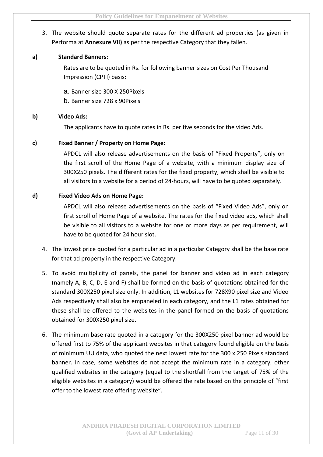#### 3. The website should quote separate rates for the different ad properties (as given in Performa at **Annexure VII)** as per the respective Category that they fallen.

#### **a) Standard Banners:**

Rates are to be quoted in Rs. for following banner sizes on Cost Per Thousand Impression (CPTI) basis:

a. Banner size 300 X 250Pixels

b. Banner size 728 x 90Pixels

#### **b) Video Ads:**

The applicants have to quote rates in Rs. per five seconds for the video Ads.

#### **c) Fixed Banner / Property on Home Page:**

APDCL will also release advertisements on the basis of "Fixed Property", only on the first scroll of the Home Page of a website, with a minimum display size of 300X250 pixels. The different rates for the fixed property, which shall be visible to all visitors to a website for a period of 24-hours, will have to be quoted separately.

#### **d) Fixed Video Ads on Home Page:**

APDCL will also release advertisements on the basis of "Fixed Video Ads", only on first scroll of Home Page of a website. The rates for the fixed video ads, which shall be visible to all visitors to a website for one or more days as per requirement, will have to be quoted for 24 hour slot.

- 4. The lowest price quoted for a particular ad in a particular Category shall be the base rate for that ad property in the respective Category.
- 5. To avoid multiplicity of panels, the panel for banner and video ad in each category (namely A, B, C, D, E and F) shall be formed on the basis of quotations obtained for the standard 300X250 pixel size only. In addition, L1 websites for 728X90 pixel size and Video Ads respectively shall also be empaneled in each category, and the L1 rates obtained for these shall be offered to the websites in the panel formed on the basis of quotations obtained for 300X250 pixel size.
- 6. The minimum base rate quoted in a category for the 300X250 pixel banner ad would be offered first to 75% of the applicant websites in that category found eligible on the basis of minimum UU data, who quoted the next lowest rate for the 300 x 250 Pixels standard banner. In case, some websites do not accept the minimum rate in a category, other qualified websites in the category (equal to the shortfall from the target of 75% of the eligible websites in a category) would be offered the rate based on the principle of "first offer to the lowest rate offering website".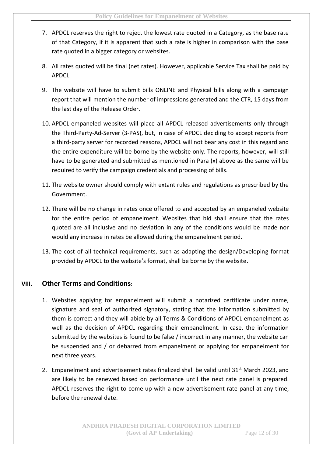- 7. APDCL reserves the right to reject the lowest rate quoted in a Category, as the base rate of that Category, if it is apparent that such a rate is higher in comparison with the base rate quoted in a bigger category or websites.
- 8. All rates quoted will be final (net rates). However, applicable Service Tax shall be paid by APDCL.
- 9. The website will have to submit bills ONLINE and Physical bills along with a campaign report that will mention the number of impressions generated and the CTR, 15 days from the last day of the Release Order.
- 10. APDCL-empaneled websites will place all APDCL released advertisements only through the Third-Party-Ad-Server (3-PAS), but, in case of APDCL deciding to accept reports from a third-party server for recorded reasons, APDCL will not bear any cost in this regard and the entire expenditure will be borne by the website only. The reports, however, will still have to be generated and submitted as mentioned in Para (x) above as the same will be required to verify the campaign credentials and processing of bills.
- 11. The website owner should comply with extant rules and regulations as prescribed by the Government.
- 12. There will be no change in rates once offered to and accepted by an empaneled website for the entire period of empanelment. Websites that bid shall ensure that the rates quoted are all inclusive and no deviation in any of the conditions would be made nor would any increase in rates be allowed during the empanelment period.
- 13. The cost of all technical requirements, such as adapting the design/Developing format provided by APDCL to the website's format, shall be borne by the website.

#### **VIII. Other Terms and Conditions**:

- 1. Websites applying for empanelment will submit a notarized certificate under name, signature and seal of authorized signatory, stating that the information submitted by them is correct and they will abide by all Terms & Conditions of APDCL empanelment as well as the decision of APDCL regarding their empanelment. In case, the information submitted by the websites is found to be false / incorrect in any manner, the website can be suspended and / or debarred from empanelment or applying for empanelment for next three years.
- 2. Empanelment and advertisement rates finalized shall be valid until 31<sup>st</sup> March 2023, and are likely to be renewed based on performance until the next rate panel is prepared. APDCL reserves the right to come up with a new advertisement rate panel at any time, before the renewal date.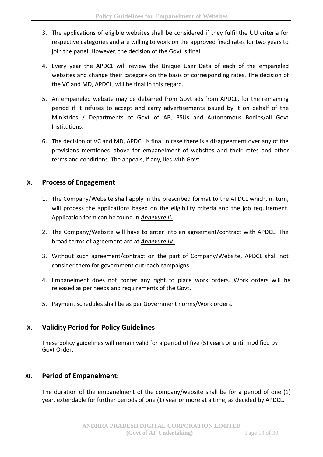- 3. The applications of eligible websites shall be considered if they fulfil the UU criteria for respective categories and are willing to work on the approved fixed rates for two years to join the panel. However, the decision of the Govt is final.
- 4. Every year the APDCL will review the Unique User Data of each of the empaneled websites and change their category on the basis of corresponding rates. The decision of the VC and MD, APDCL, will be final in this regard.
- 5. An empaneled website may be debarred from Govt ads from APDCL, for the remaining period if it refuses to accept and carry advertisements issued by it on behalf of the Ministries / Departments of Govt of AP, PSUs and Autonomous Bodies/all Govt Institutions.
- 6. The decision of VC and MD, APDCL is final in case there is a disagreement over any of the provisions mentioned above for empanelment of websites and their rates and other terms and conditions. The appeals, if any, lies with Govt.

#### **IX. Process of Engagement**

- 1. The Company/Website shall apply in the prescribed format to the APDCL which, in turn, will process the applications based on the eligibility criteria and the job requirement. Application form can be found in *Annexure II.*
- 2. The Company/Website will have to enter into an agreement/contract with APDCL. The broad terms of agreement are at *Annexure IV.*
- 3. Without such agreement/contract on the part of Company/Website, APDCL shall not consider them for government outreach campaigns.
- 4. Empanelment does not confer any right to place work orders. Work orders will be released as per needs and requirements of the Govt.
- 5. Payment schedules shall be as per Government norms/Work orders.

#### **X. Validity Period for Policy Guidelines**

These policy guidelines will remain valid for a period of five (5) years or until modified by Govt Order.

#### **XI. Period of Empanelment**:

The duration of the empanelment of the company/website shall be for a period of one (1) year, extendable for further periods of one (1) year or more at a time, as decided by APDCL.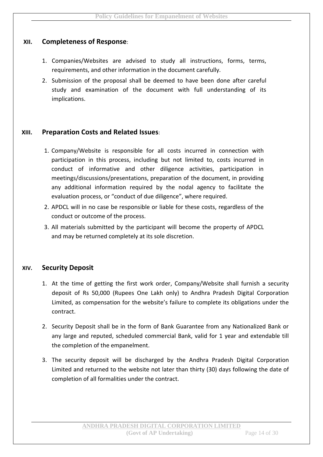#### **XII. Completeness of Response**:

- 1. Companies/Websites are advised to study all instructions, forms, terms, requirements, and other information in the document carefully.
- 2. Submission of the proposal shall be deemed to have been done after careful study and examination of the document with full understanding of its implications.

#### **XIII. Preparation Costs and Related Issues**:

- 1. Company/Website is responsible for all costs incurred in connection with participation in this process, including but not limited to, costs incurred in conduct of informative and other diligence activities, participation in meetings/discussions/presentations, preparation of the document, in providing any additional information required by the nodal agency to facilitate the evaluation process, or "conduct of due diligence", where required.
- 2. APDCL will in no case be responsible or liable for these costs, regardless of the conduct or outcome of the process.
- 3. All materials submitted by the participant will become the property of APDCL and may be returned completely at its sole discretion.

#### **XIV. Security Deposit**

- 1. At the time of getting the first work order, Company/Website shall furnish a security deposit of Rs 50,000 (Rupees One Lakh only) to Andhra Pradesh Digital Corporation Limited, as compensation for the website's failure to complete its obligations under the contract.
- 2. Security Deposit shall be in the form of Bank Guarantee from any Nationalized Bank or any large and reputed, scheduled commercial Bank, valid for 1 year and extendable till the completion of the empanelment.
- 3. The security deposit will be discharged by the Andhra Pradesh Digital Corporation Limited and returned to the website not later than thirty (30) days following the date of completion of all formalities under the contract.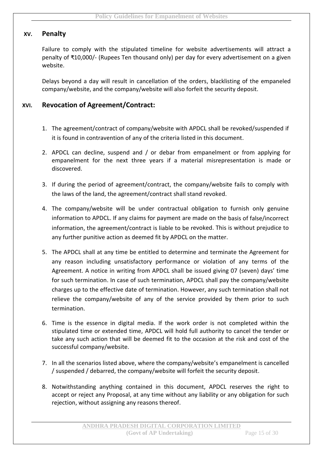#### **XV. Penalty**

Failure to comply with the stipulated timeline for website advertisements will attract a penalty of ₹10,000/- (Rupees Ten thousand only) per day for every advertisement on a given website.

Delays beyond a day will result in cancellation of the orders, blacklisting of the empaneled company/website, and the company/website will also forfeit the security deposit.

#### **XVI. Revocation of Agreement/Contract:**

- 1. The agreement/contract of company/website with APDCL shall be revoked/suspended if it is found in contravention of any of the criteria listed in this document.
- 2. APDCL can decline, suspend and / or debar from empanelment or from applying for empanelment for the next three years if a material misrepresentation is made or discovered.
- 3. If during the period of agreement/contract, the company/website fails to comply with the laws of the land, the agreement/contract shall stand revoked.
- 4. The company/website will be under contractual obligation to furnish only genuine information to APDCL. If any claims for payment are made on the basis of false/incorrect information, the agreement/contract is liable to be revoked. This is without prejudice to any further punitive action as deemed fit by APDCL on the matter.
- 5. The APDCL shall at any time be entitled to determine and terminate the Agreement for any reason including unsatisfactory performance or violation of any terms of the Agreement. A notice in writing from APDCL shall be issued giving 07 (seven) days' time for such termination. In case of such termination, APDCL shall pay the company/website charges up to the effective date of termination. However, any such termination shall not relieve the company/website of any of the service provided by them prior to such termination.
- 6. Time is the essence in digital media. If the work order is not completed within the stipulated time or extended time, APDCL will hold full authority to cancel the tender or take any such action that will be deemed fit to the occasion at the risk and cost of the successful company/website.
- 7. In all the scenarios listed above, where the company/website's empanelment is cancelled / suspended / debarred, the company/website will forfeit the security deposit.
- 8. Notwithstanding anything contained in this document, APDCL reserves the right to accept or reject any Proposal, at any time without any liability or any obligation for such rejection, without assigning any reasons thereof.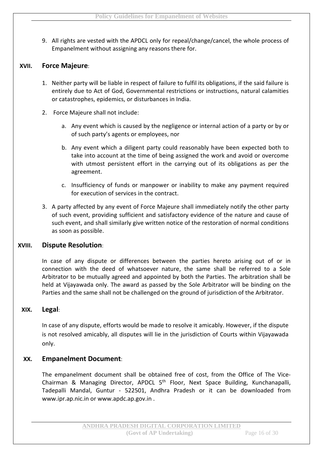9. All rights are vested with the APDCL only for repeal/change/cancel, the whole process of Empanelment without assigning any reasons there for.

#### **XVII. Force Majeure**:

- 1. Neither party will be liable in respect of failure to fulfil its obligations, if the said failure is entirely due to Act of God, Governmental restrictions or instructions, natural calamities or catastrophes, epidemics, or disturbances in India.
- 2. Force Majeure shall not include:
	- a. Any event which is caused by the negligence or internal action of a party or by or of such party's agents or employees, nor
	- b. Any event which a diligent party could reasonably have been expected both to take into account at the time of being assigned the work and avoid or overcome with utmost persistent effort in the carrying out of its obligations as per the agreement.
	- c. Insufficiency of funds or manpower or inability to make any payment required for execution of services in the contract.
- 3. A party affected by any event of Force Majeure shall immediately notify the other party of such event, providing sufficient and satisfactory evidence of the nature and cause of such event, and shall similarly give written notice of the restoration of normal conditions as soon as possible.

#### **XVIII. Dispute Resolution**:

In case of any dispute or differences between the parties hereto arising out of or in connection with the deed of whatsoever nature, the same shall be referred to a Sole Arbitrator to be mutually agreed and appointed by both the Parties. The arbitration shall be held at Vijayawada only. The award as passed by the Sole Arbitrator will be binding on the Parties and the same shall not be challenged on the ground of jurisdiction of the Arbitrator.

#### **XIX. Legal**:

In case of any dispute, efforts would be made to resolve it amicably. However, if the dispute is not resolved amicably, all disputes will lie in the jurisdiction of Courts within Vijayawada only.

#### **XX. Empanelment Document**:

The empanelment document shall be obtained free of cost, from the Office of The Vice-Chairman & Managing Director, APDCL 5<sup>th</sup> Floor, Next Space Building, Kunchanapalli, Tadepalli Mandal, Guntur - 522501, Andhra Pradesh or it can be downloaded from www.ipr.ap.nic.in or www.apdc.ap.gov.in .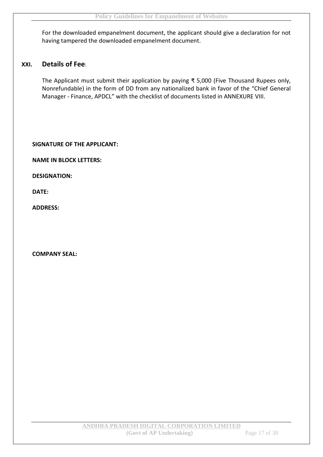For the downloaded empanelment document, the applicant should give a declaration for not having tampered the downloaded empanelment document.

#### **XXI. Details of Fee**:

The Applicant must submit their application by paying ₹ 5,000 (Five Thousand Rupees only, Nonrefundable) in the form of DD from any nationalized bank in favor of the "Chief General Manager - Finance, APDCL" with the checklist of documents listed in ANNEXURE VIII.

#### **SIGNATURE OF THE APPLICANT:**

**NAME IN BLOCK LETTERS:**

**DESIGNATION:**

**DATE:**

**ADDRESS:**

**COMPANY SEAL:**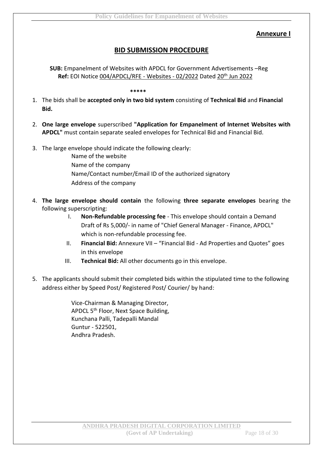#### **Annexure I**

#### **BID SUBMISSION PROCEDURE**

**SUB:** Empanelment of Websites with APDCL for Government Advertisements –Reg **Ref:** EOI Notice 004/APDCL/RFE - Websites - 02/2022 Dated 20th Jun 2022

**\*\*\*\*\***

- 1. The bids shall be **accepted only in two bid system** consisting of **Technical Bid** and **Financial Bid.**
- 2. **One large envelope** superscribed **"Application for Empanelment of Internet Websites with APDCL"** must contain separate sealed envelopes for Technical Bid and Financial Bid.
- 3. The large envelope should indicate the following clearly:
	- Name of the website Name of the company Name/Contact number/Email ID of the authorized signatory Address of the company
- 4. **The large envelope should contain** the following **three separate envelopes** bearing the following superscripting:
	- I. **Non-Refundable processing fee** This envelope should contain a Demand Draft of Rs 5,000/- in name of "Chief General Manager - Finance, APDCL" which is non-refundable processing fee.
	- II. **Financial Bid:** Annexure VII "Financial Bid Ad Properties and Quotes" goes in this envelope
	- III. **Technical Bid:** All other documents go in this envelope.
- 5. The applicants should submit their completed bids within the stipulated time to the following address either by Speed Post/ Registered Post/ Courier/ by hand:

Vice-Chairman & Managing Director, APDCL 5<sup>th</sup> Floor, Next Space Building, Kunchana Palli, Tadepalli Mandal Guntur - 522501, Andhra Pradesh.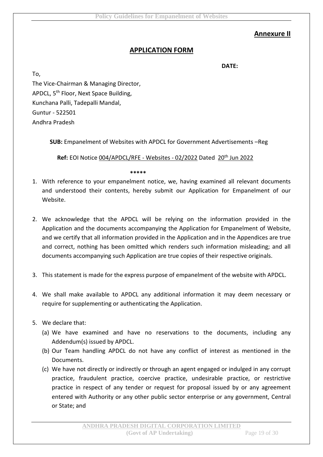#### **Annexure II**

#### **APPLICATION FORM**

**DATE:**

To,

The Vice-Chairman & Managing Director, APDCL, 5<sup>th</sup> Floor, Next Space Building, Kunchana Palli, Tadepalli Mandal, Guntur - 522501 Andhra Pradesh

**SUB:** Empanelment of Websites with APDCL for Government Advertisements –Reg

**Ref:** EOI Notice 004/APDCL/RFE - Websites - 02/2022 Dated 20th Jun 2022

**\*\*\*\*\***

- 1. With reference to your empanelment notice, we, having examined all relevant documents and understood their contents, hereby submit our Application for Empanelment of our Website.
- 2. We acknowledge that the APDCL will be relying on the information provided in the Application and the documents accompanying the Application for Empanelment of Website, and we certify that all information provided in the Application and in the Appendices are true and correct, nothing has been omitted which renders such information misleading; and all documents accompanying such Application are true copies of their respective originals.
- 3. This statement is made for the express purpose of empanelment of the website with APDCL.
- 4. We shall make available to APDCL any additional information it may deem necessary or require for supplementing or authenticating the Application.
- 5. We declare that:
	- (a) We have examined and have no reservations to the documents, including any Addendum(s) issued by APDCL.
	- (b) Our Team handling APDCL do not have any conflict of interest as mentioned in the Documents.
	- (c) We have not directly or indirectly or through an agent engaged or indulged in any corrupt practice, fraudulent practice, coercive practice, undesirable practice, or restrictive practice in respect of any tender or request for proposal issued by or any agreement entered with Authority or any other public sector enterprise or any government, Central or State; and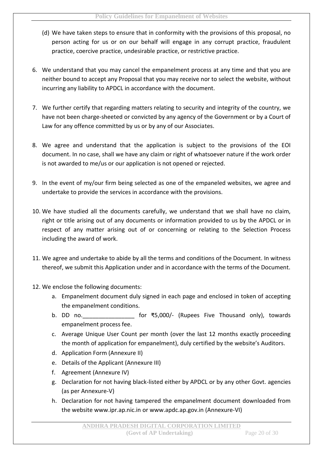- (d) We have taken steps to ensure that in conformity with the provisions of this proposal, no person acting for us or on our behalf will engage in any corrupt practice, fraudulent practice, coercive practice, undesirable practice, or restrictive practice.
- 6. We understand that you may cancel the empanelment process at any time and that you are neither bound to accept any Proposal that you may receive nor to select the website, without incurring any liability to APDCL in accordance with the document.
- 7. We further certify that regarding matters relating to security and integrity of the country, we have not been charge-sheeted or convicted by any agency of the Government or by a Court of Law for any offence committed by us or by any of our Associates.
- 8. We agree and understand that the application is subject to the provisions of the EOI document. In no case, shall we have any claim or right of whatsoever nature if the work order is not awarded to me/us or our application is not opened or rejected.
- 9. In the event of my/our firm being selected as one of the empaneled websites, we agree and undertake to provide the services in accordance with the provisions.
- 10. We have studied all the documents carefully, we understand that we shall have no claim, right or title arising out of any documents or information provided to us by the APDCL or in respect of any matter arising out of or concerning or relating to the Selection Process including the award of work.
- 11. We agree and undertake to abide by all the terms and conditions of the Document. In witness thereof, we submit this Application under and in accordance with the terms of the Document.
- 12. We enclose the following documents:
	- a. Empanelment document duly signed in each page and enclosed in token of accepting the empanelment conditions.
	- b. DD no. \_\_\_\_\_\_\_\_\_\_\_\_\_\_ for ₹5,000/- (Rupees Five Thousand only), towards empanelment process fee.
	- c. Average Unique User Count per month (over the last 12 months exactly proceeding the month of application for empanelment), duly certified by the website's Auditors.
	- d. Application Form (Annexure II)
	- e. Details of the Applicant (Annexure III)
	- f. Agreement (Annexure IV)
	- g. Declaration for not having black-listed either by APDCL or by any other Govt. agencies (as per Annexure-V)
	- h. Declaration for not having tampered the empanelment document downloaded from the website www.ipr.ap.nic.in or www.apdc.ap.gov.in (Annexure-VI)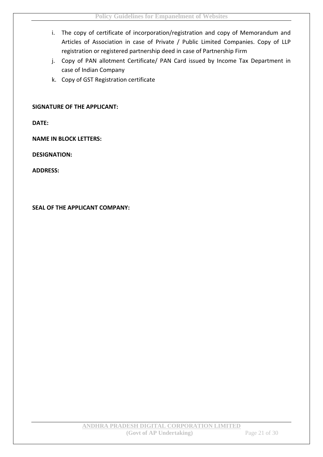- i. The copy of certificate of incorporation/registration and copy of Memorandum and Articles of Association in case of Private / Public Limited Companies. Copy of LLP registration or registered partnership deed in case of Partnership Firm
- j. Copy of PAN allotment Certificate/ PAN Card issued by Income Tax Department in case of Indian Company
- k. Copy of GST Registration certificate

#### **SIGNATURE OF THE APPLICANT:**

**DATE:**

**NAME IN BLOCK LETTERS:**

**DESIGNATION:**

**ADDRESS:**

**SEAL OF THE APPLICANT COMPANY:**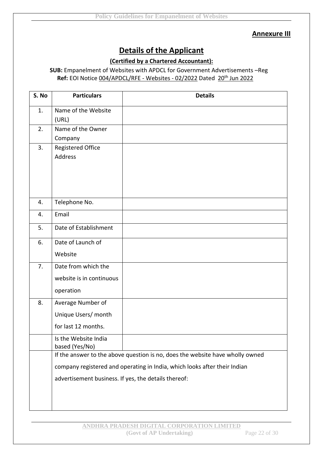#### **Annexure III**

# **Details of the Applicant**

#### **(Certified by a Chartered Accountant):**

#### **SUB:** Empanelment of Websites with APDCL for Government Advertisements –Reg **Ref:** EOI Notice 004/APDCL/RFE - Websites - 02/2022 Dated 20th Jun 2022

| S. No | <b>Particulars</b>                                                        | <b>Details</b>                                                                |  |
|-------|---------------------------------------------------------------------------|-------------------------------------------------------------------------------|--|
| 1.    | Name of the Website                                                       |                                                                               |  |
|       | (URL)                                                                     |                                                                               |  |
| 2.    | Name of the Owner                                                         |                                                                               |  |
|       | Company                                                                   |                                                                               |  |
| 3.    | Registered Office                                                         |                                                                               |  |
|       | Address                                                                   |                                                                               |  |
|       |                                                                           |                                                                               |  |
|       |                                                                           |                                                                               |  |
|       |                                                                           |                                                                               |  |
|       |                                                                           |                                                                               |  |
| 4.    | Telephone No.                                                             |                                                                               |  |
| 4.    | Email                                                                     |                                                                               |  |
| 5.    | Date of Establishment                                                     |                                                                               |  |
| 6.    | Date of Launch of                                                         |                                                                               |  |
|       | Website                                                                   |                                                                               |  |
| 7.    | Date from which the                                                       |                                                                               |  |
|       | website is in continuous                                                  |                                                                               |  |
|       | operation                                                                 |                                                                               |  |
| 8.    | Average Number of                                                         |                                                                               |  |
|       | Unique Users/ month                                                       |                                                                               |  |
|       | for last 12 months.                                                       |                                                                               |  |
|       | Is the Website India                                                      |                                                                               |  |
|       | based (Yes/No)                                                            |                                                                               |  |
|       |                                                                           | If the answer to the above question is no, does the website have wholly owned |  |
|       | company registered and operating in India, which looks after their Indian |                                                                               |  |
|       | advertisement business. If yes, the details thereof:                      |                                                                               |  |
|       |                                                                           |                                                                               |  |
|       |                                                                           |                                                                               |  |
|       |                                                                           |                                                                               |  |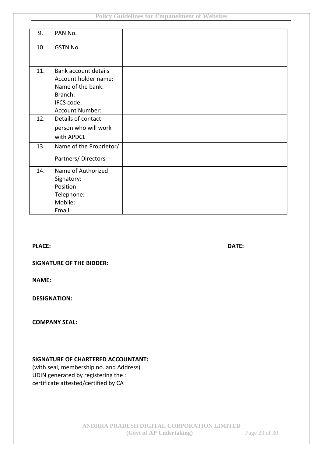| 9.  | PAN No.                     |  |
|-----|-----------------------------|--|
| 10. | GSTN No.                    |  |
|     |                             |  |
| 11. | <b>Bank account details</b> |  |
|     | Account holder name:        |  |
|     | Name of the bank:           |  |
|     | Branch:                     |  |
|     | IFCS code:                  |  |
|     | <b>Account Number:</b>      |  |
| 12. | Details of contact          |  |
|     | person who will work        |  |
|     | with APDCL                  |  |
| 13. | Name of the Proprietor/     |  |
|     | Partners/Directors          |  |
| 14. | Name of Authorized          |  |
|     | Signatory:                  |  |
|     | Position:                   |  |
|     | Telephone:                  |  |
|     | Mobile:                     |  |
|     | Email:                      |  |

**PLACE: DATE:**

#### **SIGNATURE OF THE BIDDER:**

**NAME:**

**DESIGNATION:**

#### **COMPANY SEAL:**

#### **SIGNATURE OF CHARTERED ACCOUNTANT:**

(with seal, membership no. and Address) UDIN generated by registering the : certificate attested/certified by CA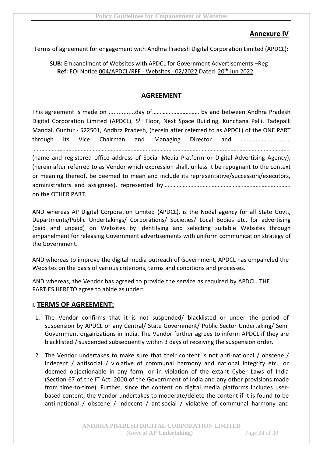#### **Annexure IV**

Terms of agreement for engagement with Andhra Pradesh Digital Corporation Limited (APDCL)**:**

#### **SUB:** Empanelment of Websites with APDCL for Government Advertisements –Reg **Ref:** EOI Notice 004/APDCL/RFE - Websites - 02/2022 Dated 20th Jun 2022

#### **AGREEMENT**

This agreement is made on ................day of………….……………… by and between Andhra Pradesh Digital Corporation Limited (APDCL), 5<sup>th</sup> Floor, Next Space Building, Kunchana Palli, Tadepalli Mandal, Guntur - 522501, Andhra Pradesh, (herein after referred to as APDCL) of the ONE PART through its Vice Chairman and Managing Director and …………………………… ……………………………………………………………………………………………………………….…………………………………….

(name and registered office address of Social Media Platform or Digital Advertising Agency), (herein after referred to as Vendor which expression shall, unless it be repugnant to the context or meaning thereof, be deemed to mean and include its representative/successors/executors, administrators and assignees), represented by…………………………………………………………………………………………… on the OTHER PART.

AND whereas AP Digital Corporation Limited (APDCL), is the Nodal agency for all State Govt., Departments/Public Undertakings/ Corporations/ Societies/ Local Bodies etc. for advertising (paid and unpaid) on Websites by identifying and selecting suitable Websites through empanelment for releasing Government advertisements with uniform communication strategy of the Government.

AND whereas to improve the digital media outreach of Government, APDCL has empaneled the Websites on the basis of various criterions, terms and conditions and processes.

AND whereas, the Vendor has agreed to provide the service as required by APDCL. THE PARTIES HERETO agree to abide as under:

#### **I. TERMS OF AGREEMENT:**

- 1. The Vendor confirms that it is not suspended/ blacklisted or under the period of suspension by APDCL or any Central/ State Government/ Public Sector Undertaking/ Semi Government organizations in India. The Vendor further agrees to inform APDCL if they are blacklisted / suspended subsequently within 3 days of receiving the suspension order.
- 2. The Vendor undertakes to make sure that their content is not anti-national / obscene / indecent / antisocial / violative of communal harmony and national integrity etc., or deemed objectionable in any form, or in violation of the extant Cyber Laws of India (Section 67 of the IT Act, 2000 of the Government of India and any other provisions made from time-to-time). Further, since the content on digital media platforms includes userbased content, the Vendor undertakes to moderate/delete the content if it is found to be anti-national / obscene / indecent / antisocial / violative of communal harmony and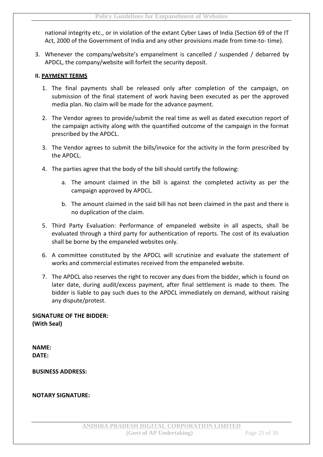national integrity etc., or in violation of the extant Cyber Laws of India (Section 69 of the IT Act, 2000 of the Government of India and any other provisions made from time-to- time).

3. Whenever the company/website's empanelment is cancelled / suspended / debarred by APDCL, the company/website will forfeit the security deposit.

#### **II. PAYMENT TERMS**

- 1. The final payments shall be released only after completion of the campaign, on submission of the final statement of work having been executed as per the approved media plan. No claim will be made for the advance payment.
- 2. The Vendor agrees to provide/submit the real time as well as dated execution report of the campaign activity along with the quantified outcome of the campaign in the format prescribed by the APDCL.
- 3. The Vendor agrees to submit the bills/invoice for the activity in the form prescribed by the APDCL.
- 4. The parties agree that the body of the bill should certify the following:
	- a. The amount claimed in the bill is against the completed activity as per the campaign approved by APDCL.
	- b. The amount claimed in the said bill has not been claimed in the past and there is no duplication of the claim.
- 5. Third Party Evaluation: Performance of empaneled website in all aspects, shall be evaluated through a third party for authentication of reports. The cost of its evaluation shall be borne by the empaneled websites only.
- 6. A committee constituted by the APDCL will scrutinize and evaluate the statement of works and commercial estimates received from the empaneled website.
- 7. The APDCL also reserves the right to recover any dues from the bidder, which is found on later date, during audit/excess payment, after final settlement is made to them. The bidder is liable to pay such dues to the APDCL immediately on demand, without raising any dispute/protest.

**SIGNATURE OF THE BIDDER: (With Seal)**

**NAME: DATE:**

**BUSINESS ADDRESS:**

**NOTARY SIGNATURE:**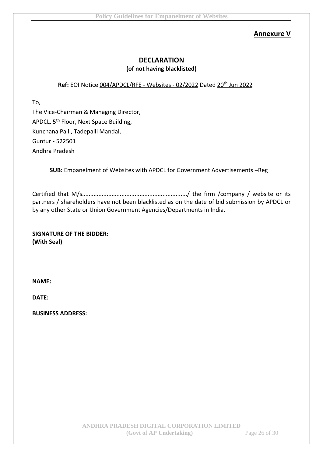#### **Annexure V**

#### **DECLARATION (of not having blacklisted)**

#### Ref: EOI Notice 004/APDCL/RFE - Websites - 02/2022 Dated 20<sup>th</sup> Jun 2022

To,

The Vice-Chairman & Managing Director, APDCL, 5<sup>th</sup> Floor, Next Space Building, Kunchana Palli, Tadepalli Mandal, Guntur - 522501 Andhra Pradesh

**SUB:** Empanelment of Websites with APDCL for Government Advertisements –Reg

Certified that M/s................................................................/ the firm /company / website or its partners / shareholders have not been blacklisted as on the date of bid submission by APDCL or by any other State or Union Government Agencies/Departments in India.

**SIGNATURE OF THE BIDDER: (With Seal)**

**NAME:**

**DATE:**

**BUSINESS ADDRESS:**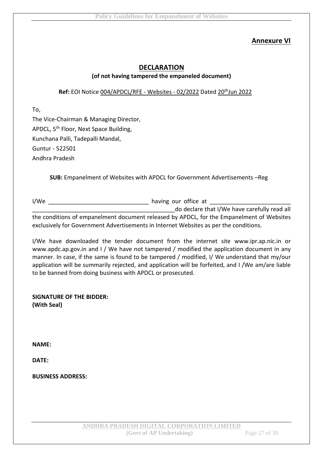#### **Annexure VI**

#### **DECLARATION (of not having tampered the empaneled document)**

#### Ref: EOI Notice 004/APDCL/RFE - Websites - 02/2022 Dated 20<sup>th</sup>Jun 2022

To,

The Vice-Chairman & Managing Director, APDCL, 5<sup>th</sup> Floor, Next Space Building, Kunchana Palli, Tadepalli Mandal, Guntur - 522501 Andhra Pradesh

**SUB:** Empanelment of Websites with APDCL for Government Advertisements –Reg

I/We are the state of the having our office at  $\sim$ do declare that I/We have carefully read all the conditions of empanelment document released by APDCL, for the Empanelment of Websites exclusively for Government Advertisements in Internet Websites as per the conditions.

I/We have downloaded the tender document from the internet site www.ipr.ap.nic.in or www.apdc.ap.gov.in and I / We have not tampered / modified the application document in any manner. In case, if the same is found to be tampered / modified, I/ We understand that my/our application will be summarily rejected, and application will be forfeited, and I /We am/are liable to be banned from doing business with APDCL or prosecuted.

**SIGNATURE OF THE BIDDER: (With Seal)**

**NAME:**

**DATE:**

**BUSINESS ADDRESS:**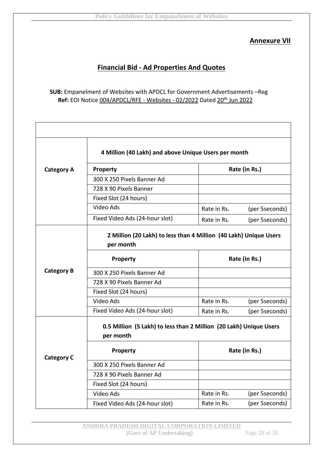#### **Annexure VII**

#### **Financial Bid - Ad Properties And Quotes**

**SUB:** Empanelment of Websites with APDCL for Government Advertisements –Reg Ref: EOI Notice 004/APDCL/RFE - Websites - 02/2022 Dated 20<sup>th</sup> Jun 2022

|                                                                                 | 4 Million (40 Lakh) and above Unique Users per month |             |                |  |
|---------------------------------------------------------------------------------|------------------------------------------------------|-------------|----------------|--|
| <b>Category A</b>                                                               | Property                                             |             | Rate (in Rs.)  |  |
|                                                                                 | 300 X 250 Pixels Banner Ad                           |             |                |  |
|                                                                                 | 728 X 90 Pixels Banner                               |             |                |  |
|                                                                                 | Fixed Slot (24 hours)                                |             |                |  |
|                                                                                 | Video Ads                                            | Rate in Rs. | (per 5seconds) |  |
|                                                                                 | Fixed Video Ads (24-hour slot)                       | Rate in Rs. | (per 5seconds) |  |
| 2 Million (20 Lakh) to less than 4 Million (40 Lakh) Unique Users<br>per month  |                                                      |             |                |  |
|                                                                                 | Property                                             |             | Rate (in Rs.)  |  |
| <b>Category B</b>                                                               | 300 X 250 Pixels Banner Ad                           |             |                |  |
|                                                                                 | 728 X 90 Pixels Banner Ad                            |             |                |  |
|                                                                                 | Fixed Slot (24 hours)                                |             |                |  |
|                                                                                 | Video Ads                                            | Rate in Rs. | (per 5seconds) |  |
|                                                                                 | Fixed Video Ads (24-hour slot)                       | Rate in Rs. | (per 5seconds) |  |
| 0.5 Million (5 Lakh) to less than 2 Million (20 Lakh) Unique Users<br>per month |                                                      |             |                |  |
| <b>Category C</b>                                                               | Property                                             |             | Rate (in Rs.)  |  |
|                                                                                 | 300 X 250 Pixels Banner Ad                           |             |                |  |
|                                                                                 | 728 X 90 Pixels Banner Ad                            |             |                |  |
|                                                                                 | Fixed Slot (24 hours)                                |             |                |  |
|                                                                                 | Video Ads                                            | Rate in Rs. | (per 5seconds) |  |
|                                                                                 | Fixed Video Ads (24-hour slot)                       | Rate in Rs. | (per 5seconds) |  |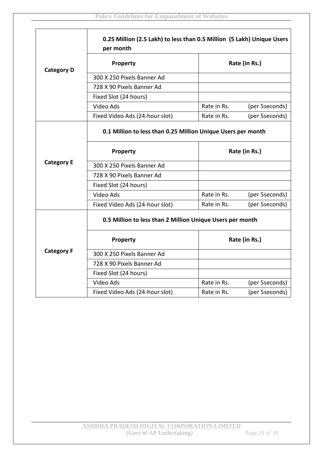**r** 

|                                                           | 0.25 Million (2.5 Lakh) to less than 0.5 Million (5 Lakh) Unique Users<br>per month |               |                |  |
|-----------------------------------------------------------|-------------------------------------------------------------------------------------|---------------|----------------|--|
| <b>Category D</b>                                         | Property                                                                            | Rate (in Rs.) |                |  |
|                                                           | 300 X 250 Pixels Banner Ad                                                          |               |                |  |
|                                                           | 728 X 90 Pixels Banner Ad                                                           |               |                |  |
|                                                           | Fixed Slot (24 hours)                                                               |               |                |  |
|                                                           | Video Ads                                                                           | Rate in Rs.   | (per 5seconds) |  |
|                                                           | Fixed Video Ads (24-hour slot)                                                      | Rate in Rs.   | (per 5seconds) |  |
|                                                           | 0.1 Million to less than 0.25 Million Unique Users per month                        |               |                |  |
|                                                           | <b>Property</b>                                                                     | Rate (in Rs.) |                |  |
| <b>Category E</b>                                         | 300 X 250 Pixels Banner Ad                                                          |               |                |  |
|                                                           | 728 X 90 Pixels Banner Ad                                                           |               |                |  |
|                                                           | Fixed Slot (24 hours)                                                               |               |                |  |
|                                                           | Video Ads                                                                           | Rate in Rs.   | (per 5seconds) |  |
|                                                           | Fixed Video Ads (24-hour slot)                                                      | Rate in Rs.   | (per 5seconds) |  |
| 0.5 Million to less than 2 Million Unique Users per month |                                                                                     |               |                |  |
|                                                           | Property                                                                            | Rate (in Rs.) |                |  |
| <b>Category F</b>                                         | 300 X 250 Pixels Banner Ad                                                          |               |                |  |
|                                                           | 728 X 90 Pixels Banner Ad                                                           |               |                |  |
|                                                           | Fixed Slot (24 hours)                                                               |               |                |  |
|                                                           | Video Ads                                                                           | Rate in Rs.   | (per 5seconds) |  |
|                                                           | Fixed Video Ads (24-hour slot)                                                      | Rate in Rs.   | (per 5seconds) |  |